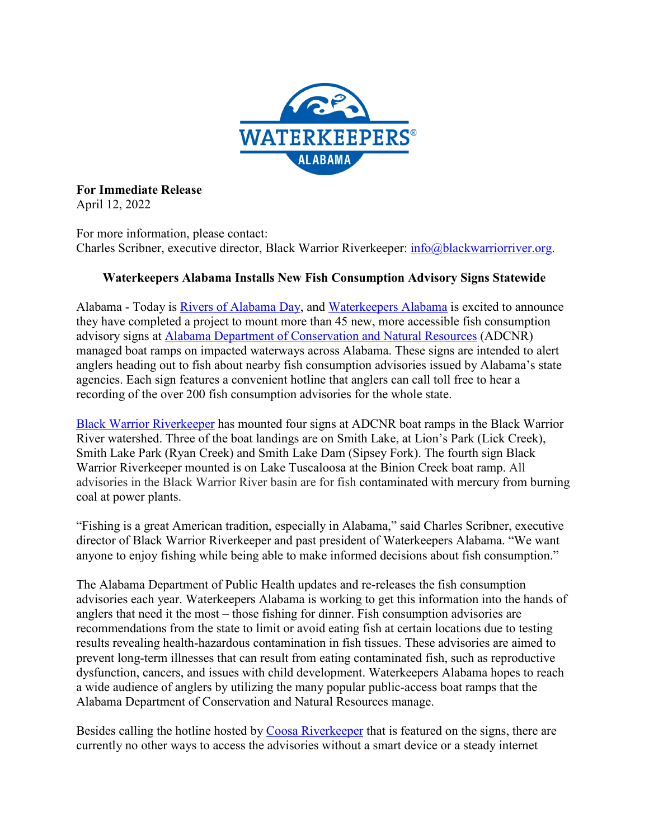

**For Immediate Release** April 12, 2022

For more information, please contact: Charles Scribner, executive director, Black Warrior Riverkeeper: [info@blackwarriorriver.org.](mailto:info@blackwarriorriver.org)

## **Waterkeepers Alabama Installs New Fish Consumption Advisory Signs Statewide**

Alabama - Today is *Rivers of Alabama Day*, and *Waterkeepers Alabama* is excited to announce they have completed a project to mount more than 45 new, more accessible fish consumption advisory signs at [Alabama Department of Conservation and Natural Resources](https://www.outdooralabama.com/) (ADCNR) managed boat ramps on impacted waterways across Alabama. These signs are intended to alert anglers heading out to fish about nearby fish consumption advisories issued by Alabama's state agencies. Each sign features a convenient hotline that anglers can call toll free to hear a recording of the over 200 fish consumption advisories for the whole state.

[Black Warrior Riverkeeper](https://www.blackwarriorriver.org/) has mounted four signs at ADCNR boat ramps in the Black Warrior River watershed. Three of the boat landings are on Smith Lake, at Lion's Park (Lick Creek), Smith Lake Park (Ryan Creek) and Smith Lake Dam (Sipsey Fork). The fourth sign Black Warrior Riverkeeper mounted is on Lake Tuscaloosa at the Binion Creek boat ramp. All advisories in the Black Warrior River basin are for fish contaminated with mercury from burning coal at power plants.

"Fishing is a great American tradition, especially in Alabama," said Charles Scribner, executive director of Black Warrior Riverkeeper and past president of Waterkeepers Alabama. "We want anyone to enjoy fishing while being able to make informed decisions about fish consumption."

The Alabama Department of Public Health updates and re-releases the fish consumption advisories each year. Waterkeepers Alabama is working to get this information into the hands of anglers that need it the most – those fishing for dinner. Fish consumption advisories are recommendations from the state to limit or avoid eating fish at certain locations due to testing results revealing health-hazardous contamination in fish tissues. These advisories are aimed to prevent long-term illnesses that can result from eating contaminated fish, such as reproductive dysfunction, cancers, and issues with child development. Waterkeepers Alabama hopes to reach a wide audience of anglers by utilizing the many popular public-access boat ramps that the Alabama Department of Conservation and Natural Resources manage.

Besides calling the hotline hosted by [Coosa Riverkeeper](https://www.coosariverkeeper.org/) that is featured on the signs, there are currently no other ways to access the advisories without a smart device or a steady internet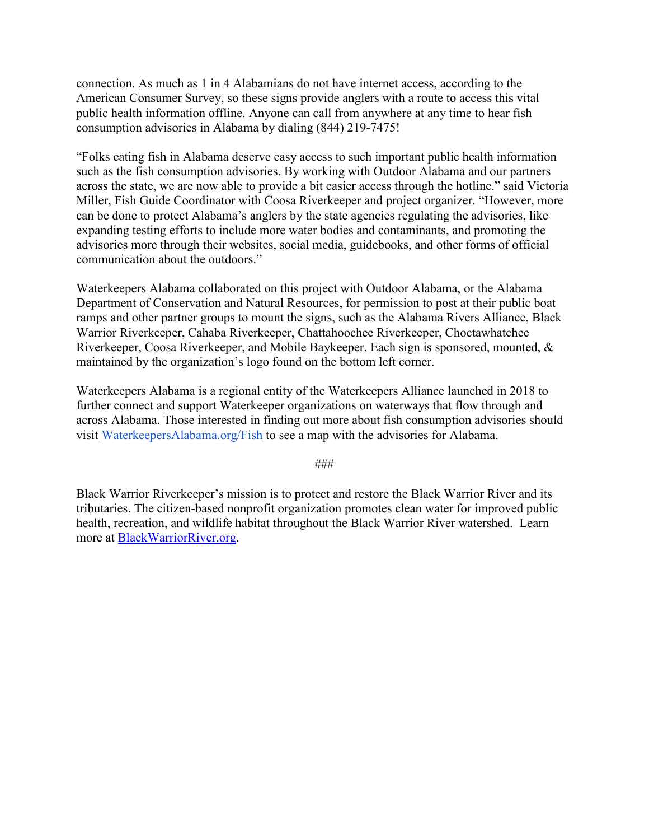connection. As much as 1 in 4 Alabamians do not have internet access, according to the American Consumer Survey, so these signs provide anglers with a route to access this vital public health information offline. Anyone can call from anywhere at any time to hear fish consumption advisories in Alabama by dialing (844) 219-7475!

"Folks eating fish in Alabama deserve easy access to such important public health information such as the fish consumption advisories. By working with Outdoor Alabama and our partners across the state, we are now able to provide a bit easier access through the hotline." said Victoria Miller, Fish Guide Coordinator with Coosa Riverkeeper and project organizer. "However, more can be done to protect Alabama's anglers by the state agencies regulating the advisories, like expanding testing efforts to include more water bodies and contaminants, and promoting the advisories more through their websites, social media, guidebooks, and other forms of official communication about the outdoors."

Waterkeepers Alabama collaborated on this project with Outdoor Alabama, or the Alabama Department of Conservation and Natural Resources, for permission to post at their public boat ramps and other partner groups to mount the signs, such as the Alabama Rivers Alliance, Black Warrior Riverkeeper, Cahaba Riverkeeper, Chattahoochee Riverkeeper, Choctawhatchee Riverkeeper, Coosa Riverkeeper, and Mobile Baykeeper. Each sign is sponsored, mounted, & maintained by the organization's logo found on the bottom left corner.

Waterkeepers Alabama is a regional entity of the Waterkeepers Alliance launched in 2018 to further connect and support Waterkeeper organizations on waterways that flow through and across Alabama. Those interested in finding out more about fish consumption advisories should visit [WaterkeepersAlabama.org/Fish](http://www.waterkeepersalabama.org/fish) to see a map with the advisories for Alabama.

###

Black Warrior Riverkeeper's mission is to protect and restore the Black Warrior River and its tributaries. The citizen-based nonprofit organization promotes clean water for improved public health, recreation, and wildlife habitat throughout the Black Warrior River watershed. Learn more at [BlackWarriorRiver.org.](https://blackwarriorriver.org/)